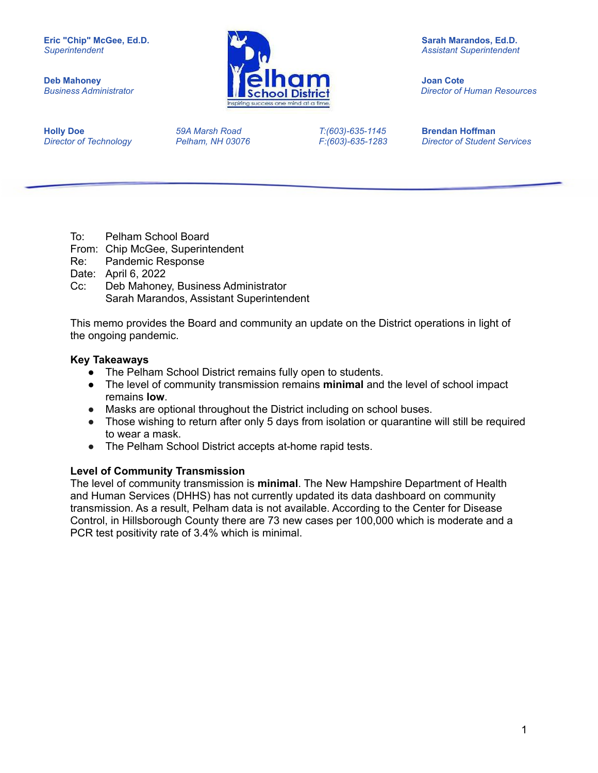

*Business Administrator Director of Human Resources*

**Holly Doe** *59A Marsh Road T:(603)-635-1145* **Brendan Hoffman**

*Director of Technology Pelham, NH 03076 F:(603)-635-1283 Director of Student Services*

- To: Pelham School Board
- From: Chip McGee, Superintendent
- Re: Pandemic Response
- Date: April 6, 2022
- Cc: Deb Mahoney, Business Administrator Sarah Marandos, Assistant Superintendent

This memo provides the Board and community an update on the District operations in light of the ongoing pandemic.

### **Key Takeaways**

- The Pelham School District remains fully open to students.
- The level of community transmission remains **minimal** and the level of school impact remains **low**.
- Masks are optional throughout the District including on school buses.
- Those wishing to return after only 5 days from isolation or quarantine will still be required to wear a mask.
- The Pelham School District accepts at-home rapid tests.

### **Level of Community Transmission**

The level of community transmission is **minimal**. The New Hampshire Department of Health and Human Services (DHHS) has not currently updated its data dashboard on community transmission. As a result, Pelham data is not available. According to the Center for Disease Control, in Hillsborough County there are 73 new cases per 100,000 which is moderate and a PCR test positivity rate of 3.4% which is minimal.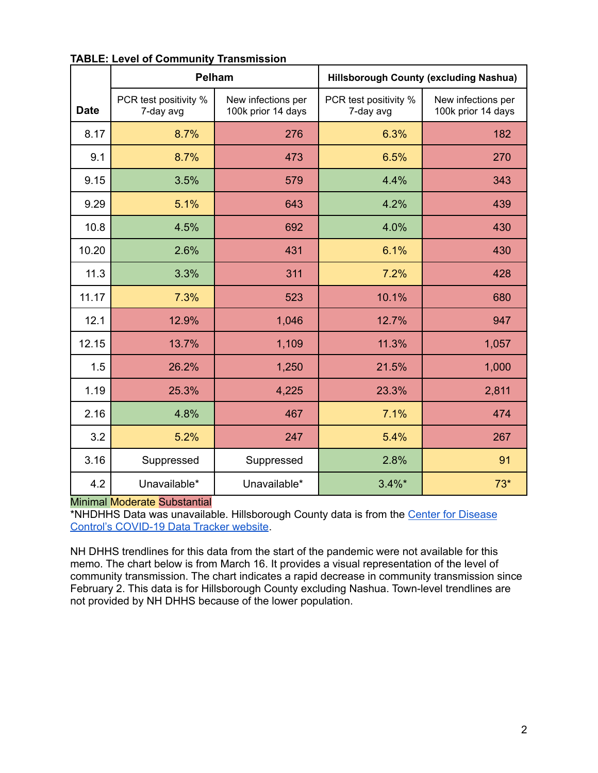|             |                                    | Pelham                                   | <b>Hillsborough County (excluding Nashua)</b> |                                          |  |
|-------------|------------------------------------|------------------------------------------|-----------------------------------------------|------------------------------------------|--|
| <b>Date</b> | PCR test positivity %<br>7-day avg | New infections per<br>100k prior 14 days | PCR test positivity %<br>7-day avg            | New infections per<br>100k prior 14 days |  |
| 8.17        | 8.7%                               | 276                                      | 6.3%                                          | 182                                      |  |
| 9.1         | 8.7%                               | 473                                      | 6.5%                                          | 270                                      |  |
| 9.15        | 3.5%                               | 579                                      | 4.4%                                          | 343                                      |  |
| 9.29        | 5.1%                               | 643                                      | 4.2%                                          | 439                                      |  |
| 10.8        | 4.5%                               | 692                                      | 4.0%                                          | 430                                      |  |
| 10.20       | 2.6%                               | 431                                      | 6.1%                                          | 430                                      |  |
| 11.3        | 3.3%                               | 311                                      | 7.2%                                          | 428                                      |  |
| 11.17       | 7.3%                               | 523                                      | 10.1%                                         | 680                                      |  |
| 12.1        | 12.9%                              | 1,046                                    | 12.7%                                         | 947                                      |  |
| 12.15       | 13.7%                              | 1,109                                    | 11.3%                                         | 1,057                                    |  |
| 1.5         | 26.2%                              | 1,250                                    | 21.5%                                         | 1,000                                    |  |
| 1.19        | 25.3%                              | 4,225                                    | 23.3%                                         | 2,811                                    |  |
| 2.16        | 4.8%                               | 467                                      | 7.1%                                          | 474                                      |  |
| 3.2         | 5.2%                               | 247                                      | 5.4%                                          | 267                                      |  |
| 3.16        | Suppressed                         | Suppressed                               | 2.8%                                          | 91                                       |  |
| 4.2         | Unavailable*                       | Unavailable*                             | $3.4\%$ *                                     | $73*$                                    |  |

# **TABLE: Level of Community Transmission**

### Minimal Moderate Substantial

\*NHDHHS Data was unavailable. Hillsborough County data is from the Center for [Disease](https://covid.cdc.gov/covid-data-tracker/#county-view?list_select_state=New+Hampshire&data-type=CommunityLevels&list_select_county=33011) Control's [COVID-19](https://covid.cdc.gov/covid-data-tracker/#county-view?list_select_state=New+Hampshire&data-type=CommunityLevels&list_select_county=33011) Data Tracker website.

NH DHHS trendlines for this data from the start of the pandemic were not available for this memo. The chart below is from March 16. It provides a visual representation of the level of community transmission. The chart indicates a rapid decrease in community transmission since February 2. This data is for Hillsborough County excluding Nashua. Town-level trendlines are not provided by NH DHHS because of the lower population.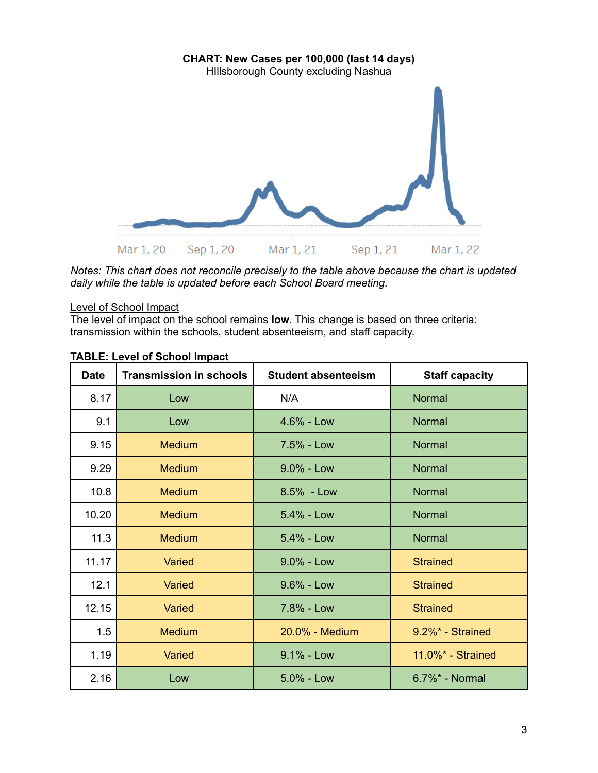

*Notes: This chart does not reconcile precisely to the table above because the chart is updated daily while the table is updated before each School Board meeting.*

## Level of School Impact

The level of impact on the school remains **low**. This change is based on three criteria: transmission within the schools, student absenteeism, and staff capacity.

| <b>Date</b> | <b>Transmission in schools</b> | <b>Student absenteeism</b> | <b>Staff capacity</b> |
|-------------|--------------------------------|----------------------------|-----------------------|
| 8.17        | Low                            | N/A                        | <b>Normal</b>         |
| 9.1         | Low                            | $4.6% - Low$               | Normal                |
| 9.15        | <b>Medium</b>                  | 7.5% - Low                 | Normal                |
| 9.29        | <b>Medium</b>                  | $9.0\%$ - Low              | <b>Normal</b>         |
| 10.8        | <b>Medium</b>                  | $8.5% - Low$               | Normal                |
| 10.20       | <b>Medium</b>                  | $5.4\%$ - Low              | Normal                |
| 11.3        | <b>Medium</b>                  | $5.4% - Low$               | Normal                |
| 11.17       | Varied                         | $9.0\%$ - Low              | <b>Strained</b>       |
| 12.1        | Varied                         | $9.6\%$ - Low              | <b>Strained</b>       |
| 12.15       | Varied                         | 7.8% - Low                 | <b>Strained</b>       |
| 1.5         | <b>Medium</b>                  | 20.0% - Medium             | $9.2\%$ * - Strained  |
| 1.19        | Varied                         | $9.1\%$ - Low              | 11.0%* - Strained     |
| 2.16        | Low                            | 5.0% - Low                 | 6.7%* - Normal        |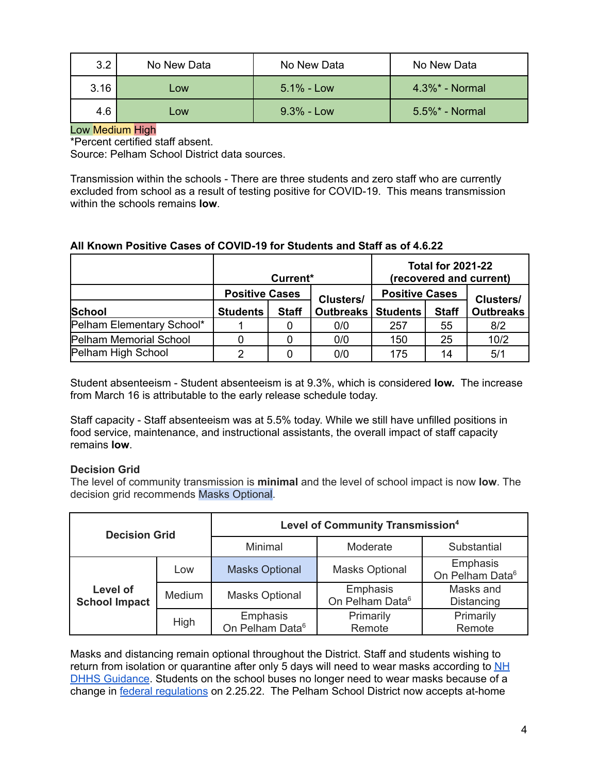| 3.2  | No New Data | No New Data   | No New Data        |
|------|-------------|---------------|--------------------|
| 3.16 | Low         | $5.1\%$ - Low | $4.3\%$ * - Normal |
| 4.6  | Low         | $9.3\%$ - Low | $5.5\%$ * - Normal |

## Low Medium High

\*Percent certified staff absent.

Source: Pelham School District data sources.

Transmission within the schools - There are three students and zero staff who are currently excluded from school as a result of testing positive for COVID-19. This means transmission within the schools remains **low**.

## **All Known Positive Cases of COVID-19 for Students and Staff as of 4.6.22**

|                           | Current*              |              |                             | <b>Total for 2021-22</b><br>(recovered and current) |              |                  |  |
|---------------------------|-----------------------|--------------|-----------------------------|-----------------------------------------------------|--------------|------------------|--|
|                           | <b>Positive Cases</b> |              | <b>Clusters/</b>            | <b>Positive Cases</b>                               |              | <b>Clusters/</b> |  |
| <b>School</b>             | <b>Students</b>       | <b>Staff</b> | <b>Outbreaks   Students</b> |                                                     | <b>Staff</b> | <b>Outbreaks</b> |  |
| Pelham Elementary School* |                       |              | 0/0                         | 257                                                 | 55           | 8/2              |  |
| Pelham Memorial School    |                       |              | 0/0                         | 150                                                 | 25           | 10/2             |  |
| Pelham High School        |                       |              | 0/0                         | 175                                                 | 14           | 5/1              |  |

Student absenteeism - Student absenteeism is at 9.3%, which is considered **low.** The increase from March 16 is attributable to the early release schedule today.

Staff capacity - Staff absenteeism was at 5.5% today. While we still have unfilled positions in food service, maintenance, and instructional assistants, the overall impact of staff capacity remains **low**.

### **Decision Grid**

The level of community transmission is **minimal** and the level of school impact is now **low**. The decision grid recommends Masks Optional.

| <b>Decision Grid</b>             |        | Level of Community Transmission <sup>4</sup> |                                         |                                         |  |
|----------------------------------|--------|----------------------------------------------|-----------------------------------------|-----------------------------------------|--|
|                                  |        | Minimal                                      | Moderate                                | Substantial                             |  |
|                                  | Low    | <b>Masks Optional</b>                        | <b>Masks Optional</b>                   | Emphasis<br>On Pelham Data <sup>6</sup> |  |
| Level of<br><b>School Impact</b> | Medium | <b>Masks Optional</b>                        | Emphasis<br>On Pelham Data <sup>6</sup> | Masks and<br>Distancing                 |  |
|                                  | High   | Emphasis<br>On Pelham Data <sup>6</sup>      | Primarily<br>Remote                     | Primarily<br>Remote                     |  |

Masks and distancing remain optional throughout the District. Staff and students wishing to return from isolation or quarantine after only 5 days will need to wear masks according to [NH](https://www.covid19.nh.gov/sites/g/files/ehbemt481/files/inline-documents/sonh/isolation-and-quarantine-recommendations_0.pdf) DHHS [Guidance](https://www.covid19.nh.gov/sites/g/files/ehbemt481/files/inline-documents/sonh/isolation-and-quarantine-recommendations_0.pdf). Students on the school buses no longer need to wear masks because of a change in federal [regulations](https://www.cdc.gov/coronavirus/2019-ncov/travelers/face-masks-public-transportation.html) on 2.25.22. The Pelham School District now accepts at-home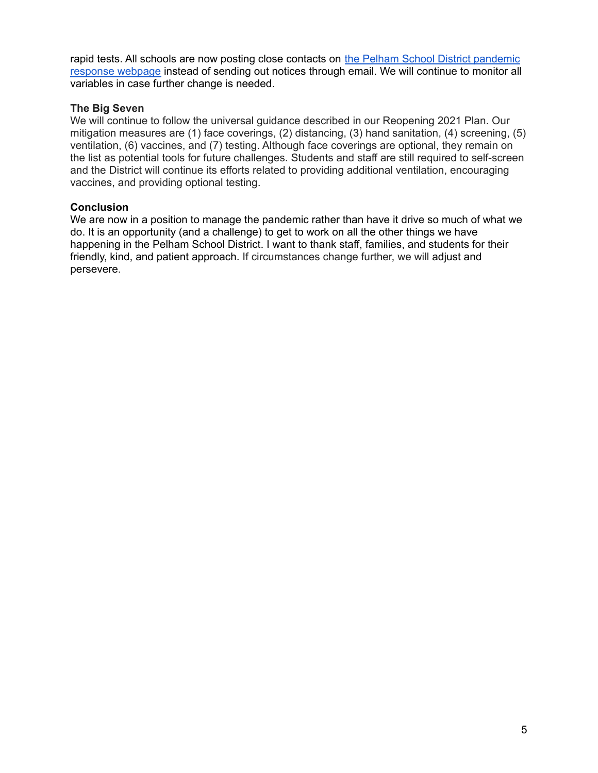rapid tests. All schools are now posting close contacts on the Pelham School District [pandemic](https://www.pelhamsd.org/PandemicResponseResources.aspx) [response](https://www.pelhamsd.org/PandemicResponseResources.aspx) webpage instead of sending out notices through email. We will continue to monitor all variables in case further change is needed.

### **The Big Seven**

We will continue to follow the universal guidance described in our Reopening 2021 Plan. Our mitigation measures are (1) face coverings, (2) distancing, (3) hand sanitation, (4) screening, (5) ventilation, (6) vaccines, and (7) testing. Although face coverings are optional, they remain on the list as potential tools for future challenges. Students and staff are still required to self-screen and the District will continue its efforts related to providing additional ventilation, encouraging vaccines, and providing optional testing.

## **Conclusion**

We are now in a position to manage the pandemic rather than have it drive so much of what we do. It is an opportunity (and a challenge) to get to work on all the other things we have happening in the Pelham School District. I want to thank staff, families, and students for their friendly, kind, and patient approach. If circumstances change further, we will adjust and persevere.